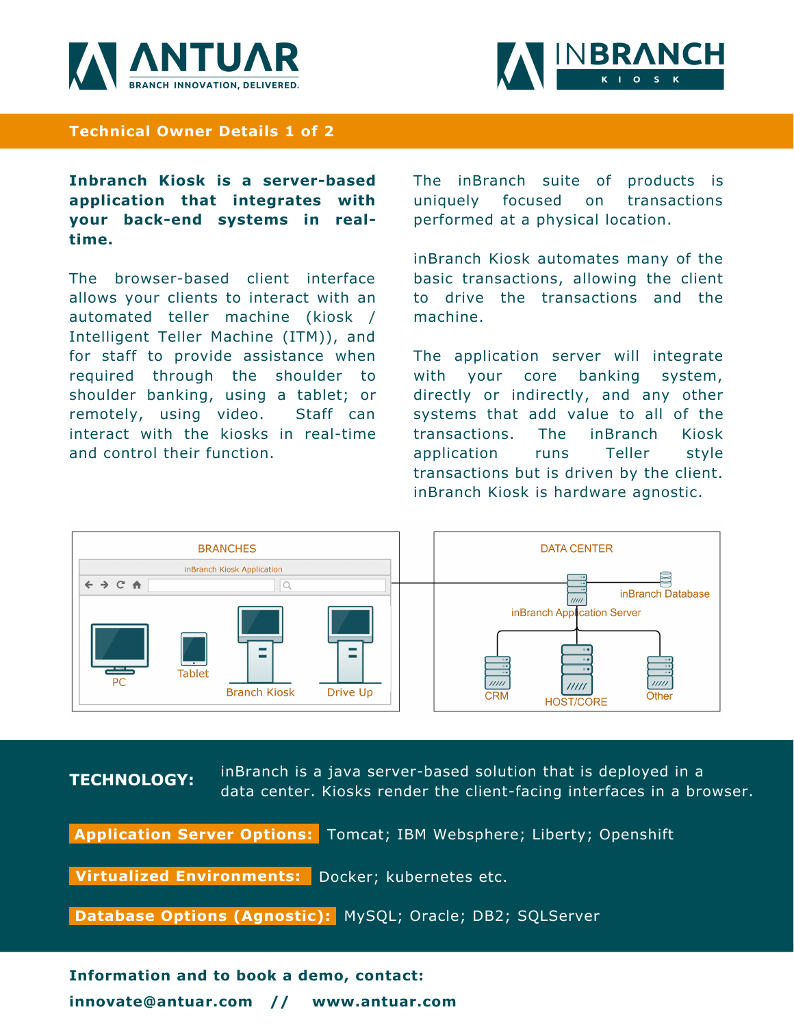



## **Technical Owner Details 1 of 2**

**Inbranch Kiosk is a server-based application that integrates with your back-end systems in realtime.**

The browser-based client interface allows your clients to interact with an automated teller machine (kiosk / Intelligent Teller Machine (ITM)), and for staff to provide assistance when required through the shoulder to shoulder banking, using a tablet; or remotely, using video. Staff can interact with the kiosks in real-time and control their function.

The inBranch suite of products is uniquely focused on transactions performed at a physical location.

inBranch Kiosk automates many of the basic transactions, allowing the client to drive the transactions and the machine.

The application server will integrate with your core banking system, directly or indirectly, and any other systems that add value to all of the transactions. The inBranch Kiosk application runs Teller style transactions but is driven by the client. inBranch Kiosk is hardware agnostic.



**TECHNOLOGY:** inBranch is a java server-based solution that is deployed in a data center. Kiosks render the client-facing interfaces in a browser.

**Application Server Options:** Tomcat; IBM Websphere; Liberty; Openshift

**Virtualized Environments:** Docker; kubernetes etc.

**Database Options (Agnostic):** MySQL; Oracle; DB2; SQLServer